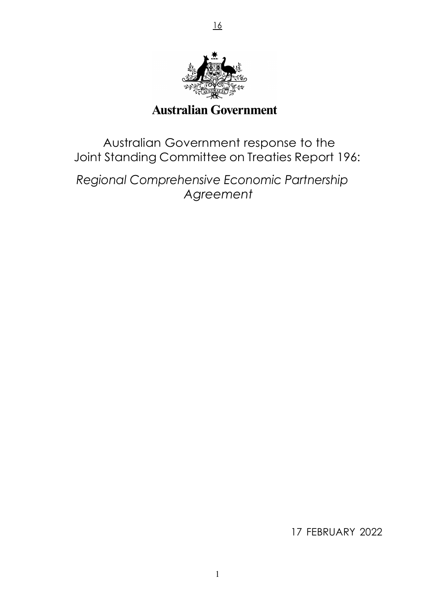

16

# **Australian Government**

Australian Government response to the Joint Standing Committee on Treaties Report 196:

*Regional Comprehensive Economic Partnership Agreement*

17 FEBRUARY 2022

1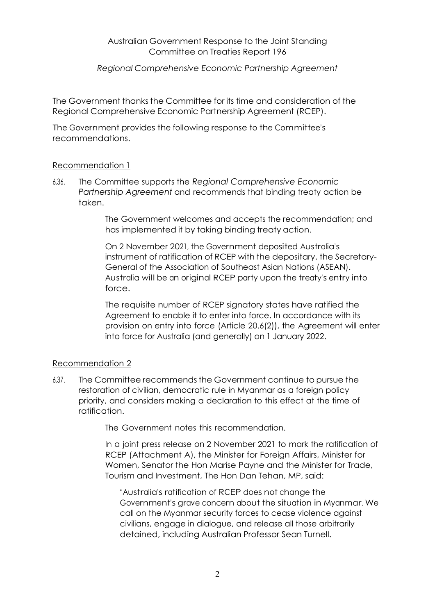### Australian Government Response to the Joint Standing Committee on Treaties Report 196

## *Regional Comprehensive Economic Partnership Agreement*

The Government thanks the Committee for its time and consideration of the Regional Comprehensive Economic Partnership Agreement (RCEP).

The Government provides the following response to the Committee's recommendations.

## Recommendation 1

6.36. The Committee supports the *Regional Comprehensive Economic Partnership Agreement* and recommends that binding treaty action be taken.

> The Government welcomes and accepts the recommendation; and has implemented it by taking binding treaty action.

On 2 November 2021, the Government deposited Australia's instrument of ratification of RCEP with the depositary, the Secretary-General of the Association of Southeast Asian Nations (ASEAN). Australia will be an original RCEP party upon the treaty's entry into force.

The requisite number of RCEP signatory states have ratified the Agreement to enable it to enter into force. In accordance with its provision on entry into force (Article 20.6(2)), the Agreement will enter into force for Australia (and generally) on 1 January 2022.

## Recommendation 2

6.37. The Committee recommends the Government continue to pursue the restoration of civilian, democratic rule in Myanmar as a foreign policy priority, and considers making a declaration to this effect at the time of ratification.

The Government notes this recommendation.

In a joint press release on 2 November 2021 to mark the ratification of RCEP (Attachment A), the Minister for Foreign Affairs, Minister for Women, Senator the Hon Marise Payne and the Minister for Trade, Tourism and Investment, The Hon Dan Tehan, MP, said:

"Australia's ratification of RCEP does not change the Government's grave concern about the situation in Myanmar. We call on the Myanmar security forces to cease violence against civilians, engage in dialogue, and release all those arbitrarily detained, including Australian Professor Sean Turnell.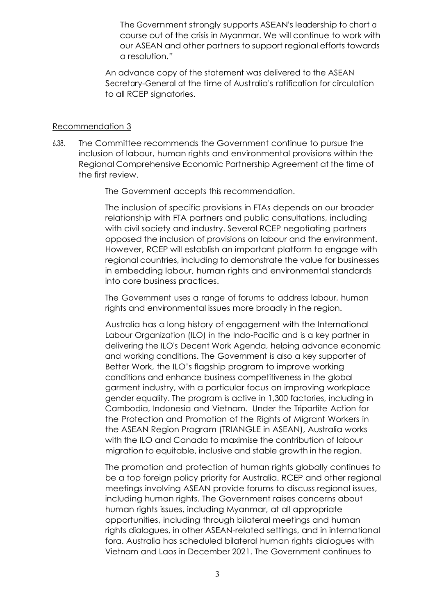The Government strongly supports ASEAN's leadership to chart <sup>a</sup> course out of the crisis in Myanmar. We will continue to work with our ASEAN and other partners to support regional efforts towards a resolution.*"*

An advance copy of the statement was delivered to the ASEAN Secretary-General at the time of Australia's ratification for circulation to all RCEP signatories.

#### Recommendation 3

6.38. The Committee recommends the Government continue to pursue the inclusion of labour, human rights and environmental provisions within the Regional Comprehensive Economic Partnership Agreement at the time of the first review.

The Government accepts this recommendation.

The inclusion of specific provisions in FTAs depends on our broader relationship with FTA partners and public consultations, including with civil society and industry. Several RCEP negotiating partners opposed the inclusion of provisions on labour and the environment. However, RCEP will establish an important platform to engage with regional countries, including to demonstrate the value for businesses in embedding labour, human rights and environmental standards into core business practices.

The Government uses a range of forums to address labour, human rights and environmental issues more broadly in the region.

Australia has a long history of engagement with the International Labour Organization (ILO) in the Indo-Pacific and is a key partner in delivering the ILO's Decent Work Agenda, helping advance economic and working conditions. The Government is also a key supporter of Better Work, the ILO's flagship program to improve working conditions and enhance business competitiveness in the global garment industry, with a particular focus on improving workplace gender equality. The program is active in 1,300 factories, including in Cambodia, Indonesia and Vietnam. Under the Tripartite Action for the Protection and Promotion of the Rights of Migrant Workers in the ASEAN Region Program (TRIANGLE in ASEAN), Australia works with the ILO and Canada to maximise the contribution of labour migration to equitable, inclusive and stable growth in the region.

The promotion and protection of human rights globally continues to be a top foreign policy priority for Australia. RCEP and other regional meetings involving ASEAN provide forums to discuss regional issues, including human rights. The Government raises concerns about human rights issues, including Myanmar, at all appropriate opportunities, including through bilateral meetings and human rights dialogues, in other ASEAN-related settings, and in international fora. Australia has scheduled bilateral human rights dialogues with Vietnam and Laos in December 2021. The Government continues to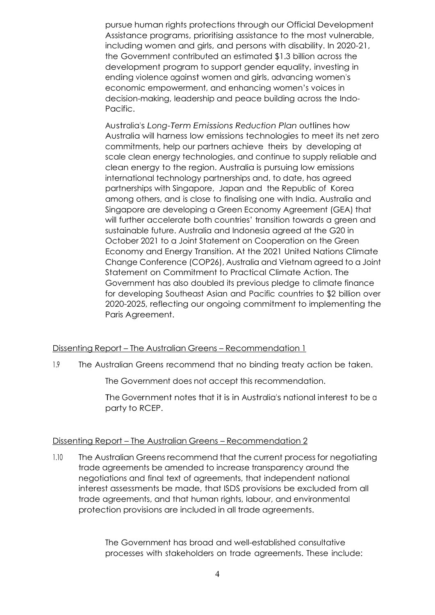pursue human rights protections through our Official Development Assistance programs, prioritising assistance to the most vulnerable, including women and girls, and persons with disability. In 2020-21, the Government contributed an estimated \$1.3 billion across the development program to support gender equality, investing in ending violence against women and girls, advancing women's economic empowerment, and enhancing women's voices in decision-making, leadership and peace building across the Indo-Pacific.

Australia's *Long-Term Emissions Reduction Plan* outlines how Australia will harness low emissions technologies to meet its net zero commitments, help our partners achieve theirs by developing at scale clean energy technologies, and continue to supply reliable and clean energy to the region. Australia is pursuing low emissions international technology partnerships and, to date, has agreed partnerships with Singapore, Japan and the Republic of Korea among others, and is close to finalising one with India. Australia and Singapore are developing a Green Economy Agreement (GEA) that will further accelerate both countries' transition towards a green and sustainable future. Australia and Indonesia agreed at the G20 in October 2021 to a Joint Statement on Cooperation on the Green Economy and Energy Transition. At the 2021 United Nations Climate Change Conference (COP26), Australia and Vietnam agreed to a Joint Statement on Commitment to Practical Climate Action. The Government has also doubled its previous pledge to climate finance for developing Southeast Asian and Pacific countries to \$2 billion over 2020-2025, reflecting our ongoing commitment to implementing the Paris Agreement.

## Dissenting Report – The Australian Greens – Recommendation 1

1.9 The Australian Greens recommend that no binding treaty action be taken.

The Government does not accept this recommendation.

The Government notes that it is in Australia's national interest to be <sup>a</sup> party to RCEP.

#### Dissenting Report – The Australian Greens – Recommendation 2

1.10 The Australian Greens recommend that the current process for negotiating trade agreements be amended to increase transparency around the negotiations and final text of agreements, that independent national interest assessments be made, that ISDS provisions be excluded from all trade agreements, and that human rights, labour, and environmental protection provisions are included in all trade agreements.

> The Government has broad and well-established consultative processes with stakeholders on trade agreements. These include: